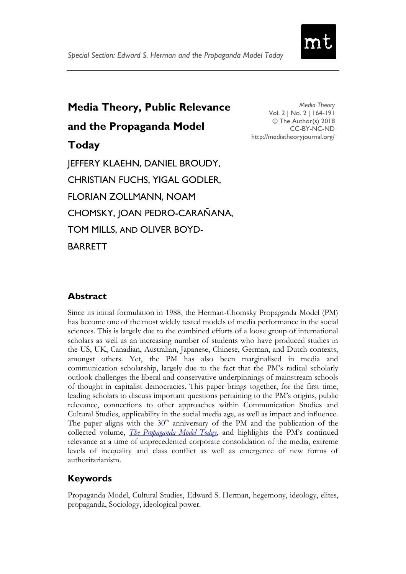

# **Media Theory, Public Relevance and the Propaganda Model Today** JEFFERY KLAEHN, DANIEL BROUDY, CHRISTIAN FUCHS, YIGAL GODLER, FLORIAN ZOLLMANN, NOAM CHOMSKY, JOAN PEDRO-CARAÑANA, TOM MILLS, AND OLIVER BOYD-BARRETT

*Media Theory* Vol. 2 | No. 2 | 164-191 © The Author(s) 2018 CC-BY-NC-ND <http://mediatheoryjournal.org/>

# **Abstract**

Since its initial formulation in 1988, the Herman-Chomsky Propaganda Model (PM) has become one of the most widely tested models of media performance in the social sciences. This is largely due to the combined efforts of a loose group of international scholars as well as an increasing number of students who have produced studies in the US, UK, Canadian, Australian, Japanese, Chinese, German, and Dutch contexts, amongst others. Yet, the PM has also been marginalised in media and communication scholarship, largely due to the fact that the PM"s radical scholarly outlook challenges the liberal and conservative underpinnings of mainstream schools of thought in capitalist democracies. This paper brings together, for the first time, leading scholars to discuss important questions pertaining to the PM"s origins, public relevance, connections to other approaches within Communication Studies and Cultural Studies, applicability in the social media age, as well as impact and influence. The paper aligns with the  $30<sup>th</sup>$  anniversary of the PM and the publication of the collected volume, *[The Propaganda Model Today](https://www.uwestminsterpress.co.uk/site/books/10.16997/book27/)*, and highlights the PM"s continued relevance at a time of unprecedented corporate consolidation of the media, extreme levels of inequality and class conflict as well as emergence of new forms of authoritarianism.

# **Keywords**

Propaganda Model, Cultural Studies, Edward S. Herman, hegemony, ideology, elites, propaganda, Sociology, ideological power.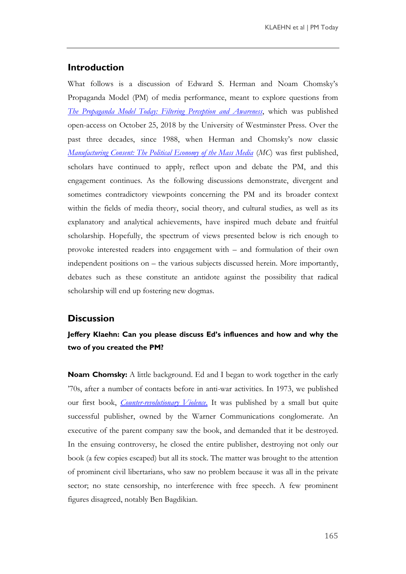#### **Introduction**

What follows is a discussion of Edward S. Herman and Noam Chomsky"s Propaganda Model (PM) of media performance, meant to explore questions from *[The Propaganda Model](https://www.uwestminsterpress.co.uk/site/books/10.16997/book27/) Today: [Filtering Perception and Awareness](https://www.uwestminsterpress.co.uk/site/books/10.16997/book27/)*, which was published open-access on October 25, 2018 by the University of Westminster Press. Over the past three decades, since 1988, when Herman and Chomsky"s now classic *[Manufacturing Consent: The Political Economy of the Mass Media](https://www.penguinrandomhouse.com/books/78912/manufacturing-consent-by-edward-s-herman-and-noam-chomsky/9780375714498/)* (*MC*) was first published, scholars have continued to apply, reflect upon and debate the PM, and this engagement continues. As the following discussions demonstrate, divergent and sometimes contradictory viewpoints concerning the PM and its broader context within the fields of media theory, social theory, and cultural studies, as well as its explanatory and analytical achievements, have inspired much debate and fruitful scholarship. Hopefully, the spectrum of views presented below is rich enough to provoke interested readers into engagement with – and formulation of their own independent positions on – the various subjects discussed herein. More importantly, debates such as these constitute an antidote against the possibility that radical scholarship will end up fostering new dogmas.

#### **Discussion**

#### **Jeffery Klaehn: Can you please discuss Ed's influences and how and why the two of you created the PM?**

**Noam Chomsky:** A little background. Ed and I began to work together in the early "70s, after a number of contacts before in anti-war activities. In 1973, we published our first book, *[Counter-revolutionary Violence](https://chomsky.info/counter-revolutionary-violence/)*[.](https://chomsky.info/counter-revolutionary-violence/) It was published by a small but quite successful publisher, owned by the Warner Communications conglomerate. An executive of the parent company saw the book, and demanded that it be destroyed. In the ensuing controversy, he closed the entire publisher, destroying not only our book (a few copies escaped) but all its stock. The matter was brought to the attention of prominent civil libertarians, who saw no problem because it was all in the private sector; no state censorship, no interference with free speech. A few prominent figures disagreed, notably Ben Bagdikian.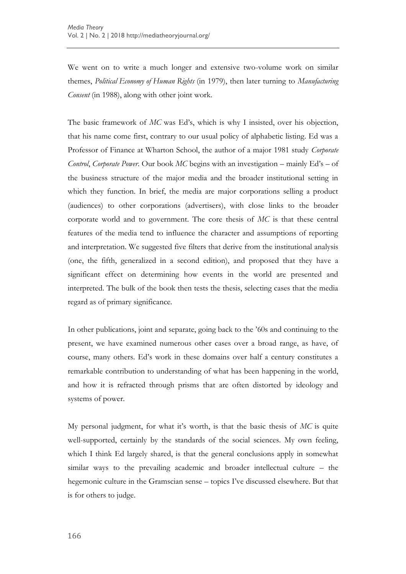We went on to write a much longer and extensive two-volume work on similar themes, *Political Economy of Human Rights* (in 1979), then later turning to *Manufacturing Consent* (in 1988), along with other joint work.

The basic framework of *MC* was Ed's, which is why I insisted, over his objection, that his name come first, contrary to our usual policy of alphabetic listing. Ed was a Professor of Finance at Wharton School, the author of a major 1981 study *Corporate Control*, *Corporate Power*. Our book *MC* begins with an investigation – mainly Ed"s – of the business structure of the major media and the broader institutional setting in which they function. In brief, the media are major corporations selling a product (audiences) to other corporations (advertisers), with close links to the broader corporate world and to government. The core thesis of *MC* is that these central features of the media tend to influence the character and assumptions of reporting and interpretation. We suggested five filters that derive from the institutional analysis (one, the fifth, generalized in a second edition), and proposed that they have a significant effect on determining how events in the world are presented and interpreted. The bulk of the book then tests the thesis, selecting cases that the media regard as of primary significance.

In other publications, joint and separate, going back to the "60s and continuing to the present, we have examined numerous other cases over a broad range, as have, of course, many others. Ed"s work in these domains over half a century constitutes a remarkable contribution to understanding of what has been happening in the world, and how it is refracted through prisms that are often distorted by ideology and systems of power.

My personal judgment, for what it"s worth, is that the basic thesis of *MC* is quite well-supported, certainly by the standards of the social sciences. My own feeling, which I think Ed largely shared, is that the general conclusions apply in somewhat similar ways to the prevailing academic and broader intellectual culture – the hegemonic culture in the Gramscian sense – topics I"ve discussed elsewhere. But that is for others to judge.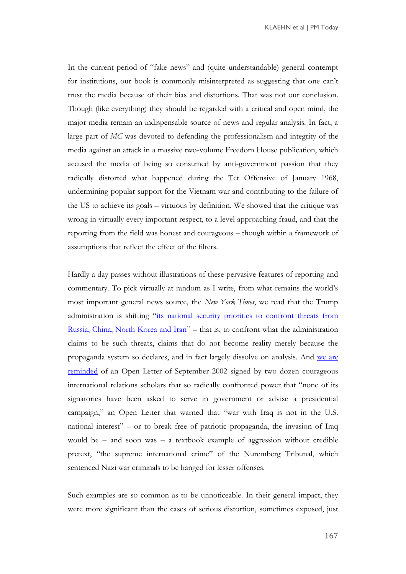In the current period of "fake news" and (quite understandable) general contempt for institutions, our book is commonly misinterpreted as suggesting that one can"t trust the media because of their bias and distortions. That was not our conclusion. Though (like everything) they should be regarded with a critical and open mind, the major media remain an indispensable source of news and regular analysis. In fact, a large part of *MC* was devoted to defending the professionalism and integrity of the media against an attack in a massive two-volume Freedom House publication, which accused the media of being so consumed by anti-government passion that they radically distorted what happened during the Tet Offensive of January 1968, undermining popular support for the Vietnam war and contributing to the failure of the US to achieve its goals – virtuous by definition. We showed that the critique was wrong in virtually every important respect, to a level approaching fraud, and that the reporting from the field was honest and courageous – though within a framework of assumptions that reflect the effect of the filters.

Hardly a day passes without illustrations of these pervasive features of reporting and commentary. To pick virtually at random as I write, from what remains the world"s most important general news source, the *New York Times*, we read that the Trump administration is shifting "its national security priorities to confront threats from [Russia, China, North Korea and Iran](https://www.nytimes.com/2018/11/20/us/politics/terrorism-islamic-militants.html)" – that is, to confront what the administration claims to be such threats, claims that do not become reality merely because the propaganda system so declares, and in fact largely dissolve on analysis. And [we are](https://www.nytimes.com/2018/11/20/books/review/stephen-m-walt-hell-good-intentions.html)  [reminded](https://www.nytimes.com/2018/11/20/books/review/stephen-m-walt-hell-good-intentions.html) of an Open Letter of September 2002 signed by two dozen courageous international relations scholars that so radically confronted power that "none of its signatories have been asked to serve in government or advise a presidential campaign," an Open Letter that warned that "war with Iraq is not in the U.S. national interest" – or to break free of patriotic propaganda, the invasion of Iraq would be – and soon was – a textbook example of aggression without credible pretext, "the supreme international crime" of the Nuremberg Tribunal, which sentenced Nazi war criminals to be hanged for lesser offenses.

Such examples are so common as to be unnoticeable. In their general impact, they were more significant than the cases of serious distortion, sometimes exposed, just

167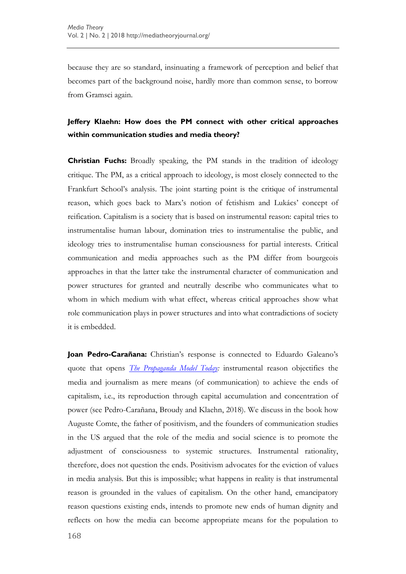because they are so standard, insinuating a framework of perception and belief that becomes part of the background noise, hardly more than common sense, to borrow from Gramsci again.

#### **Jeffery Klaehn: How does the PM connect with other critical approaches within communication studies and media theory?**

**Christian Fuchs:** Broadly speaking, the PM stands in the tradition of ideology critique. The PM, as a critical approach to ideology, is most closely connected to the Frankfurt School"s analysis. The joint starting point is the critique of instrumental reason, which goes back to Marx's notion of fetishism and Lukács' concept of reification. Capitalism is a society that is based on instrumental reason: capital tries to instrumentalise human labour, domination tries to instrumentalise the public, and ideology tries to instrumentalise human consciousness for partial interests. Critical communication and media approaches such as the PM differ from bourgeois approaches in that the latter take the instrumental character of communication and power structures for granted and neutrally describe who communicates what to whom in which medium with what effect, whereas critical approaches show what role communication plays in power structures and into what contradictions of society it is embedded.

**Joan Pedro-Carañana:** Christian's response is connected to Eduardo Galeano's quote that opens *[The Propaganda Model](https://www.uwestminsterpress.co.uk/site/books/10.16997/book27/) Today:* instrumental reason objectifies the media and journalism as mere means (of communication) to achieve the ends of capitalism, i.e., its reproduction through capital accumulation and concentration of power (see Pedro-Carañana, Broudy and Klaehn, 2018). We discuss in the book how Auguste Comte, the father of positivism, and the founders of communication studies in the US argued that the role of the media and social science is to promote the adjustment of consciousness to systemic structures. Instrumental rationality, therefore, does not question the ends. Positivism advocates for the eviction of values in media analysis. But this is impossible; what happens in reality is that instrumental reason is grounded in the values of capitalism. On the other hand, emancipatory reason questions existing ends, intends to promote new ends of human dignity and reflects on how the media can become appropriate means for the population to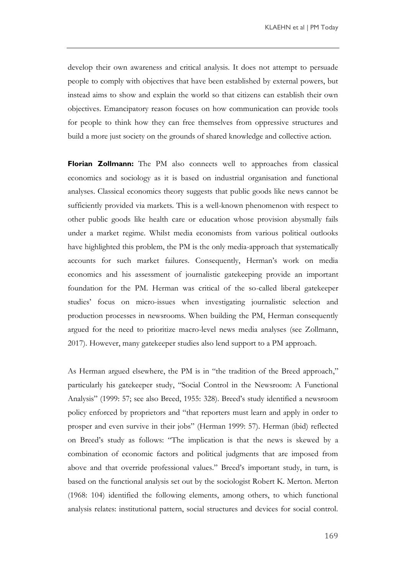develop their own awareness and critical analysis. It does not attempt to persuade people to comply with objectives that have been established by external powers, but instead aims to show and explain the world so that citizens can establish their own objectives. Emancipatory reason focuses on how communication can provide tools for people to think how they can free themselves from oppressive structures and build a more just society on the grounds of shared knowledge and collective action.

**Florian Zollmann:** The PM also connects well to approaches from classical economics and sociology as it is based on industrial organisation and functional analyses. Classical economics theory suggests that public goods like news cannot be sufficiently provided via markets. This is a well-known phenomenon with respect to other public goods like health care or education whose provision abysmally fails under a market regime. Whilst media economists from various political outlooks have highlighted this problem, the PM is the only media-approach that systematically accounts for such market failures. Consequently, Herman's work on media economics and his assessment of journalistic gatekeeping provide an important foundation for the PM. Herman was critical of the so-called liberal gatekeeper studies" focus on micro-issues when investigating journalistic selection and production processes in newsrooms. When building the PM, Herman consequently argued for the need to prioritize macro-level news media analyses (see Zollmann, 2017). However, many gatekeeper studies also lend support to a PM approach.

As Herman argued elsewhere, the PM is in "the tradition of the Breed approach," particularly his gatekeeper study, "Social Control in the Newsroom: A Functional Analysis" (1999: 57; see also Breed, 1955: 328). Breed"s study identified a newsroom policy enforced by proprietors and "that reporters must learn and apply in order to prosper and even survive in their jobs" (Herman 1999: 57). Herman (ibid) reflected on Breed"s study as follows: "The implication is that the news is skewed by a combination of economic factors and political judgments that are imposed from above and that override professional values." Breed's important study, in turn, is based on the functional analysis set out by the sociologist Robert K. Merton. Merton (1968: 104) identified the following elements, among others, to which functional analysis relates: institutional pattern, social structures and devices for social control.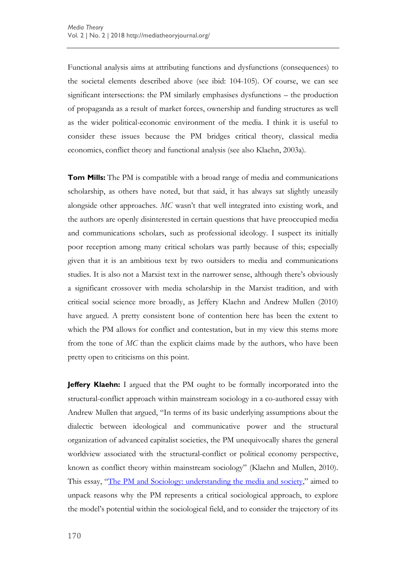Functional analysis aims at attributing functions and dysfunctions (consequences) to the societal elements described above (see ibid: 104-105). Of course, we can see significant intersections: the PM similarly emphasises dysfunctions – the production of propaganda as a result of market forces, ownership and funding structures as well as the wider political-economic environment of the media. I think it is useful to consider these issues because the PM bridges critical theory, classical media economics, conflict theory and functional analysis (see also Klaehn, 2003a).

**Tom Mills:** The PM is compatible with a broad range of media and communications scholarship, as others have noted, but that said, it has always sat slightly uneasily alongside other approaches. *MC* wasn't that well integrated into existing work, and the authors are openly disinterested in certain questions that have preoccupied media and communications scholars, such as professional ideology. I suspect its initially poor reception among many critical scholars was partly because of this; especially given that it is an ambitious text by two outsiders to media and communications studies. It is also not a Marxist text in the narrower sense, although there"s obviously a significant crossover with media scholarship in the Marxist tradition, and with critical social science more broadly, as Jeffery Klaehn and Andrew Mullen (2010) have argued. A pretty consistent bone of contention here has been the extent to which the PM allows for conflict and contestation, but in my view this stems more from the tone of *MC* than the explicit claims made by the authors, who have been pretty open to criticisms on this point.

**Jeffery Klaehn:** I argued that the PM ought to be formally incorporated into the structural-conflict approach within mainstream sociology in a co-authored essay with Andrew Mullen that argued, "In terms of its basic underlying assumptions about the dialectic between ideological and communicative power and the structural organization of advanced capitalist societies, the PM unequivocally shares the general worldview associated with the structural-conflict or political economy perspective, known as conflict theory within mainstream sociology" (Klaehn and Mullen, 2010). This essay, "The PM [and Sociology: understanding the media and society](http://scholars.wlu.ca/soci_faculty/5)," aimed to unpack reasons why the PM represents a critical sociological approach, to explore the model"s potential within the sociological field, and to consider the trajectory of its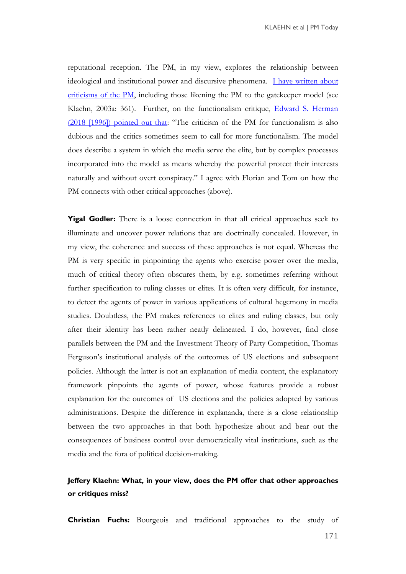reputational reception. The PM, in my view, explores the relationship between ideological and institutional power and discursive phenomena. [I have written about](https://www.tandfonline.com/doi/abs/10.1080/14616700306487)  [criticisms of the PM,](https://www.tandfonline.com/doi/abs/10.1080/14616700306487) including those likening the PM to the gatekeeper model (see Klaehn, 2003a: 361). Further, on the functionalism critique, [Edward S. Herman](https://monthlyreview.org/2018/01/01/the-propaganda-model-revisited/)  (2018 [\[1996\]\) pointed out that](https://monthlyreview.org/2018/01/01/the-propaganda-model-revisited/): "The criticism of the PM for functionalism is also dubious and the critics sometimes seem to call for more functionalism. The model does describe a system in which the media serve the elite, but by complex processes incorporated into the model as means whereby the powerful protect their interests naturally and without overt conspiracy." I agree with Florian and Tom on how the PM connects with other critical approaches (above).

**Yigal Godler:** There is a loose connection in that all critical approaches seek to illuminate and uncover power relations that are doctrinally concealed. However, in my view, the coherence and success of these approaches is not equal. Whereas the PM is very specific in pinpointing the agents who exercise power over the media, much of critical theory often obscures them, by e.g. sometimes referring without further specification to ruling classes or elites. It is often very difficult, for instance, to detect the agents of power in various applications of cultural hegemony in media studies. Doubtless, the PM makes references to elites and ruling classes, but only after their identity has been rather neatly delineated. I do, however, find close parallels between the PM and the Investment Theory of Party Competition, Thomas Ferguson"s institutional analysis of the outcomes of US elections and subsequent policies. Although the latter is not an explanation of media content, the explanatory framework pinpoints the agents of power, whose features provide a robust explanation for the outcomes of US elections and the policies adopted by various administrations. Despite the difference in explananda, there is a close relationship between the two approaches in that both hypothesize about and bear out the consequences of business control over democratically vital institutions, such as the media and the fora of political decision-making.

### **Jeffery Klaehn: What, in your view, does the PM offer that other approaches or critiques miss?**

**Christian Fuchs:** Bourgeois and traditional approaches to the study of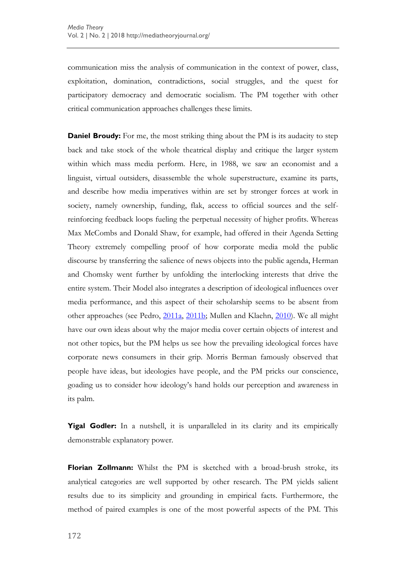communication miss the analysis of communication in the context of power, class, exploitation, domination, contradictions, social struggles, and the quest for participatory democracy and democratic socialism. The PM together with other critical communication approaches challenges these limits.

**Daniel Broudy:** For me, the most striking thing about the PM is its audacity to step back and take stock of the whole theatrical display and critique the larger system within which mass media perform. Here, in 1988, we saw an economist and a linguist, virtual outsiders, disassemble the whole superstructure, examine its parts, and describe how media imperatives within are set by stronger forces at work in society, namely ownership, funding, flak, access to official sources and the selfreinforcing feedback loops fueling the perpetual necessity of higher profits. Whereas Max McCombs and Donald Shaw, for example, had offered in their Agenda Setting Theory extremely compelling proof of how corporate media mold the public discourse by transferring the salience of news objects into the public agenda, Herman and Chomsky went further by unfolding the interlocking interests that drive the entire system. Their Model also integrates a description of ideological influences over media performance, and this aspect of their scholarship seems to be absent from other approaches (see Pedro, [2011a,](https://ijoc.org/index.php/ijoc/article/view/785) [2011b;](https://ijoc.org/index.php/ijoc/article/view/1444) Mullen and Klaehn, [2010\)](http://www.academia.edu/819414/The_Herman-Chomsky_Propaganda_Model_a_critical_approach_to_analyzing_mass_media_behavior). We all might have our own ideas about why the major media cover certain objects of interest and not other topics, but the PM helps us see how the prevailing ideological forces have corporate news consumers in their grip. Morris Berman famously observed that people have ideas, but ideologies have people, and the PM pricks our conscience, goading us to consider how ideology"s hand holds our perception and awareness in its palm.

**Yigal Godler:** In a nutshell, it is unparalleled in its clarity and its empirically demonstrable explanatory power.

**Florian Zollmann:** Whilst the PM is sketched with a broad-brush stroke, its analytical categories are well supported by other research. The PM yields salient results due to its simplicity and grounding in empirical facts. Furthermore, the method of paired examples is one of the most powerful aspects of the PM. This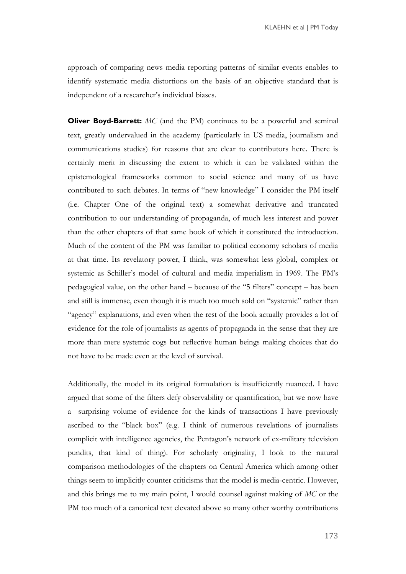approach of comparing news media reporting patterns of similar events enables to identify systematic media distortions on the basis of an objective standard that is independent of a researcher"s individual biases.

**Oliver Boyd-Barrett:** *MC* (and the PM) continues to be a powerful and seminal text, greatly undervalued in the academy (particularly in US media, journalism and communications studies) for reasons that are clear to contributors here. There is certainly merit in discussing the extent to which it can be validated within the epistemological frameworks common to social science and many of us have contributed to such debates. In terms of "new knowledge" I consider the PM itself (i.e. Chapter One of the original text) a somewhat derivative and truncated contribution to our understanding of propaganda, of much less interest and power than the other chapters of that same book of which it constituted the introduction. Much of the content of the PM was familiar to political economy scholars of media at that time. Its revelatory power, I think, was somewhat less global, complex or systemic as Schiller"s model of cultural and media imperialism in 1969. The PM"s pedagogical value, on the other hand – because of the "5 filters" concept – has been and still is immense, even though it is much too much sold on "systemic" rather than "agency" explanations, and even when the rest of the book actually provides a lot of evidence for the role of journalists as agents of propaganda in the sense that they are more than mere systemic cogs but reflective human beings making choices that do not have to be made even at the level of survival.

Additionally, the model in its original formulation is insufficiently nuanced. I have argued that some of the filters defy observability or quantification, but we now have a surprising volume of evidence for the kinds of transactions I have previously ascribed to the "black box" (e.g. I think of numerous revelations of journalists complicit with intelligence agencies, the Pentagon"s network of ex-military television pundits, that kind of thing). For scholarly originality, I look to the natural comparison methodologies of the chapters on Central America which among other things seem to implicitly counter criticisms that the model is media-centric. However, and this brings me to my main point, I would counsel against making of *MC* or the PM too much of a canonical text elevated above so many other worthy contributions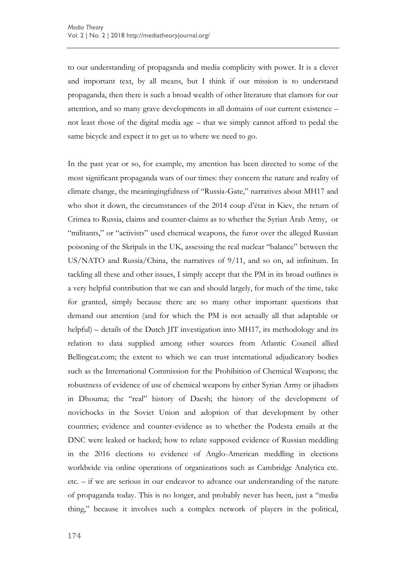to our understanding of propaganda and media complicity with power. It is a clever and important text, by all means, but I think if our mission is to understand propaganda, then there is such a broad wealth of other literature that clamors for our attention, and so many grave developments in all domains of our current existence – not least those of the digital media age – that we simply cannot afford to pedal the same bicycle and expect it to get us to where we need to go.

In the past year or so, for example, my attention has been directed to some of the most significant propaganda wars of our times: they concern the nature and reality of climate change, the meaningingfulness of "Russia-Gate," narratives about MH17 and who shot it down, the circumstances of the 2014 coup d"état in Kiev, the return of Crimea to Russia, claims and counter-claims as to whether the Syrian Arab Army, or "militants," or "activists" used chemical weapons, the furor over the alleged Russian poisoning of the Skripals in the UK, assessing the real nuclear "balance" between the US/NATO and Russia/China, the narratives of 9/11, and so on, ad infinitum. In tackling all these and other issues, I simply accept that the PM in its broad outlines is a very helpful contribution that we can and should largely, for much of the time, take for granted, simply because there are so many other important questions that demand our attention (and for which the PM is not actually all that adaptable or helpful) – details of the Dutch JIT investigation into MH17, its methodology and its relation to data supplied among other sources from Atlantic Council allied Bellingcat.com; the extent to which we can trust international adjudicatory bodies such as the International Commission for the Prohibition of Chemical Weapons; the robustness of evidence of use of chemical weapons by either Syrian Army or jihadists in Dhouma; the "real" history of Daesh; the history of the development of novichocks in the Soviet Union and adoption of that development by other countries; evidence and counter-evidence as to whether the Podesta emails at the DNC were leaked or hacked; how to relate supposed evidence of Russian meddling in the 2016 elections to evidence of Anglo-American meddling in elections worldwide via online operations of organizations such as Cambridge Analytica etc. etc. – if we are serious in our endeavor to advance our understanding of the nature of propaganda today. This is no longer, and probably never has been, just a "media thing," because it involves such a complex network of players in the political,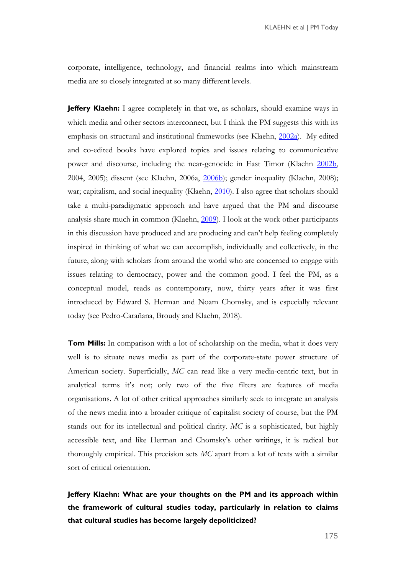corporate, intelligence, technology, and financial realms into which mainstream media are so closely integrated at so many different levels.

**Jeffery Klaehn:** I agree completely in that we, as scholars, should examine ways in which media and other sectors interconnect, but I think the PM suggests this with its emphasis on structural and institutional frameworks (see Klaehn, [2002a\)](https://journals.sagepub.com/doi/10.1177/0267323102017002691). My edited and co-edited books have explored topics and issues relating to communicative power and discourse, including the near-genocide in East Timor (Klaehn [2002b,](https://journals.sagepub.com/doi/abs/10.1177/174804850206400401) 2004, 2005); dissent (see Klaehn, 2006a, [2006b\)](http://www.bmartin.cc/pubs/06Klaehn.html); gender inequality (Klaehn, 2008); war; capitalism, and social inequality (Klaehn, [2010\)](https://www.peterlang.com/view/title/21306). I also agree that scholars should take a multi-paradigmatic approach and have argued that the PM and discourse analysis share much in common (Klaehn, [2009\)](http://www.academia.edu/819415/The_Propaganda_Model_theoretical_and_methodological_considerations). I look at the work other participants in this discussion have produced and are producing and can"t help feeling completely inspired in thinking of what we can accomplish, individually and collectively, in the future, along with scholars from around the world who are concerned to engage with issues relating to democracy, power and the common good. I feel the PM, as a conceptual model, reads as contemporary, now, thirty years after it was first introduced by Edward S. Herman and Noam Chomsky, and is especially relevant today (see Pedro-Carañana, Broudy and Klaehn, 2018).

**Tom Mills:** In comparison with a lot of scholarship on the media, what it does very well is to situate news media as part of the corporate-state power structure of American society. Superficially, *MC* can read like a very media-centric text, but in analytical terms it's not; only two of the five filters are features of media organisations. A lot of other critical approaches similarly seek to integrate an analysis of the news media into a broader critique of capitalist society of course, but the PM stands out for its intellectual and political clarity. *MC* is a sophisticated, but highly accessible text, and like Herman and Chomsky"s other writings, it is radical but thoroughly empirical. This precision sets *MC* apart from a lot of texts with a similar sort of critical orientation.

**Jeffery Klaehn: What are your thoughts on the PM and its approach within the framework of cultural studies today, particularly in relation to claims that cultural studies has become largely depoliticized?**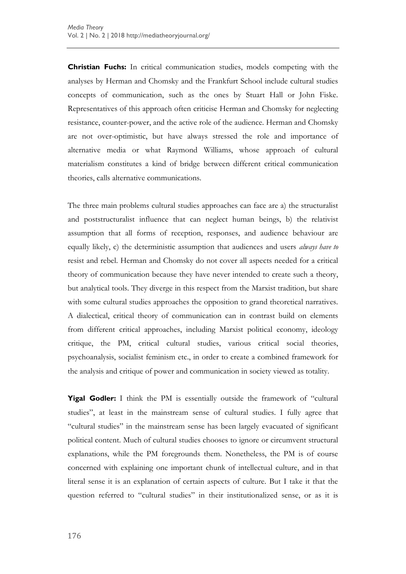**Christian Fuchs:** In critical communication studies, models competing with the analyses by Herman and Chomsky and the Frankfurt School include cultural studies concepts of communication, such as the ones by Stuart Hall or John Fiske. Representatives of this approach often criticise Herman and Chomsky for neglecting resistance, counter-power, and the active role of the audience. Herman and Chomsky are not over-optimistic, but have always stressed the role and importance of alternative media or what Raymond Williams, whose approach of cultural materialism constitutes a kind of bridge between different critical communication theories, calls alternative communications.

The three main problems cultural studies approaches can face are a) the structuralist and poststructuralist influence that can neglect human beings, b) the relativist assumption that all forms of reception, responses, and audience behaviour are equally likely, c) the deterministic assumption that audiences and users *always have to* resist and rebel. Herman and Chomsky do not cover all aspects needed for a critical theory of communication because they have never intended to create such a theory, but analytical tools. They diverge in this respect from the Marxist tradition, but share with some cultural studies approaches the opposition to grand theoretical narratives. A dialectical, critical theory of communication can in contrast build on elements from different critical approaches, including Marxist political economy, ideology critique, the PM, critical cultural studies, various critical social theories, psychoanalysis, socialist feminism etc., in order to create a combined framework for the analysis and critique of power and communication in society viewed as totality.

**Yigal Godler:** I think the PM is essentially outside the framework of "cultural studies", at least in the mainstream sense of cultural studies. I fully agree that "cultural studies" in the mainstream sense has been largely evacuated of significant political content. Much of cultural studies chooses to ignore or circumvent structural explanations, while the PM foregrounds them. Nonetheless, the PM is of course concerned with explaining one important chunk of intellectual culture, and in that literal sense it is an explanation of certain aspects of culture. But I take it that the question referred to "cultural studies" in their institutionalized sense, or as it is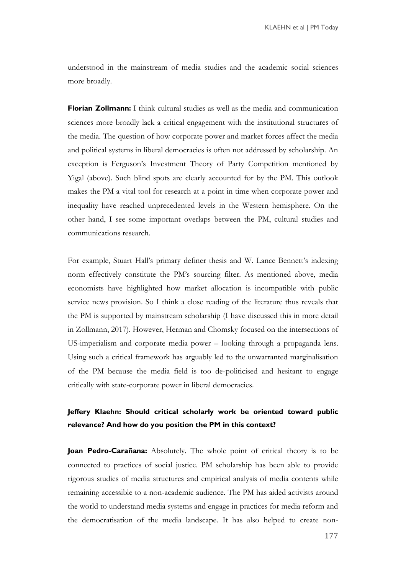understood in the mainstream of media studies and the academic social sciences more broadly.

**Florian Zollmann:** I think cultural studies as well as the media and communication sciences more broadly lack a critical engagement with the institutional structures of the media. The question of how corporate power and market forces affect the media and political systems in liberal democracies is often not addressed by scholarship. An exception is Ferguson"s Investment Theory of Party Competition mentioned by Yigal (above). Such blind spots are clearly accounted for by the PM. This outlook makes the PM a vital tool for research at a point in time when corporate power and inequality have reached unprecedented levels in the Western hemisphere. On the other hand, I see some important overlaps between the PM, cultural studies and communications research.

For example, Stuart Hall's primary definer thesis and W. Lance Bennett's indexing norm effectively constitute the PM"s sourcing filter. As mentioned above, media economists have highlighted how market allocation is incompatible with public service news provision. So I think a close reading of the literature thus reveals that the PM is supported by mainstream scholarship (I have discussed this in more detail in Zollmann, 2017). However, Herman and Chomsky focused on the intersections of US-imperialism and corporate media power – looking through a propaganda lens. Using such a critical framework has arguably led to the unwarranted marginalisation of the PM because the media field is too de-politicised and hesitant to engage critically with state-corporate power in liberal democracies.

#### **Jeffery Klaehn: Should critical scholarly work be oriented toward public relevance? And how do you position the PM in this context?**

**Joan Pedro-Carañana:** Absolutely. The whole point of critical theory is to be connected to practices of social justice. PM scholarship has been able to provide rigorous studies of media structures and empirical analysis of media contents while remaining accessible to a non-academic audience. The PM has aided activists around the world to understand media systems and engage in practices for media reform and the democratisation of the media landscape. It has also helped to create non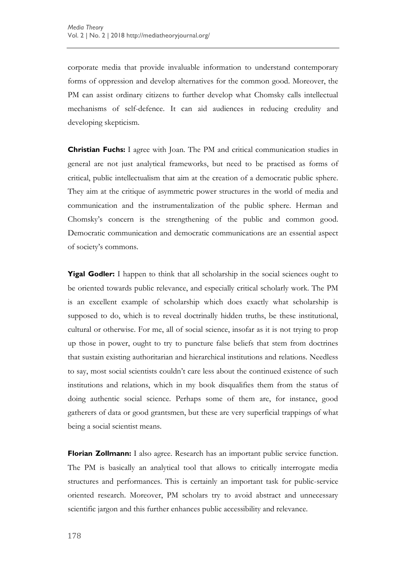corporate media that provide invaluable information to understand contemporary forms of oppression and develop alternatives for the common good. Moreover, the PM can assist ordinary citizens to further develop what Chomsky calls intellectual mechanisms of self-defence. It can aid audiences in reducing credulity and developing skepticism.

**Christian Fuchs:** I agree with Joan. The PM and critical communication studies in general are not just analytical frameworks, but need to be practised as forms of critical, public intellectualism that aim at the creation of a democratic public sphere. They aim at the critique of asymmetric power structures in the world of media and communication and the instrumentalization of the public sphere. Herman and Chomsky"s concern is the strengthening of the public and common good. Democratic communication and democratic communications are an essential aspect of society"s commons.

**Yigal Godler:** I happen to think that all scholarship in the social sciences ought to be oriented towards public relevance, and especially critical scholarly work. The PM is an excellent example of scholarship which does exactly what scholarship is supposed to do, which is to reveal doctrinally hidden truths, be these institutional, cultural or otherwise. For me, all of social science, insofar as it is not trying to prop up those in power, ought to try to puncture false beliefs that stem from doctrines that sustain existing authoritarian and hierarchical institutions and relations. Needless to say, most social scientists couldn"t care less about the continued existence of such institutions and relations, which in my book disqualifies them from the status of doing authentic social science. Perhaps some of them are, for instance, good gatherers of data or good grantsmen, but these are very superficial trappings of what being a social scientist means.

**Florian Zollmann:** I also agree. Research has an important public service function. The PM is basically an analytical tool that allows to critically interrogate media structures and performances. This is certainly an important task for public-service oriented research. Moreover, PM scholars try to avoid abstract and unnecessary scientific jargon and this further enhances public accessibility and relevance.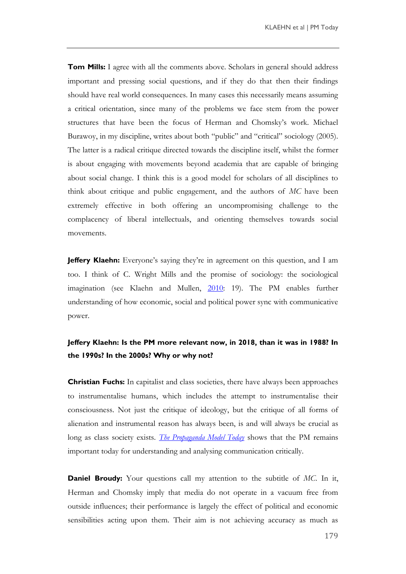**Tom Mills:** I agree with all the comments above. Scholars in general should address important and pressing social questions, and if they do that then their findings should have real world consequences. In many cases this necessarily means assuming a critical orientation, since many of the problems we face stem from the power structures that have been the focus of Herman and Chomsky"s work. Michael Burawoy, in my discipline, writes about both "public" and "critical" sociology (2005). The latter is a radical critique directed towards the discipline itself, whilst the former is about engaging with movements beyond academia that are capable of bringing about social change. I think this is a good model for scholars of all disciplines to think about critique and public engagement, and the authors of *MC* have been extremely effective in both offering an uncompromising challenge to the complacency of liberal intellectuals, and orienting themselves towards social movements.

**Jeffery Klaehn:** Everyone's saying they're in agreement on this question, and I am too. I think of C. Wright Mills and the promise of sociology: the sociological imagination (see Klaehn and Mullen, [2010:](http://www.academia.edu/819413/The_Propaganda_Model_and_Sociology_understanding_the_media_and_society) 19). The PM enables further understanding of how economic, social and political power sync with communicative power.

#### **Jeffery Klaehn: Is the PM more relevant now, in 2018, than it was in 1988? In the 1990s? In the 2000s? Why or why not?**

**Christian Fuchs:** In capitalist and class societies, there have always been approaches to instrumentalise humans, which includes the attempt to instrumentalise their consciousness. Not just the critique of ideology, but the critique of all forms of alienation and instrumental reason has always been, is and will always be crucial as long as class society exists. *[The Propaganda Model](https://www.uwestminsterpress.co.uk/site/books/10.16997/book27/) Today* shows that the PM remains important today for understanding and analysing communication critically.

**Daniel Broudy:** Your questions call my attention to the subtitle of *MC*. In it, Herman and Chomsky imply that media do not operate in a vacuum free from outside influences; their performance is largely the effect of political and economic sensibilities acting upon them. Their aim is not achieving accuracy as much as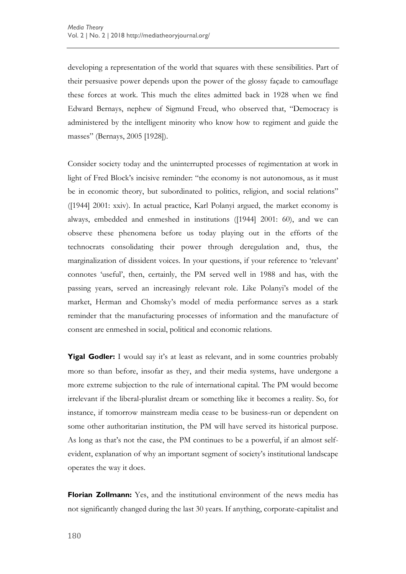developing a representation of the world that squares with these sensibilities. Part of their persuasive power depends upon the power of the glossy façade to camouflage these forces at work. This much the elites admitted back in 1928 when we find Edward Bernays, nephew of Sigmund Freud, who observed that, "Democracy is administered by the intelligent minority who know how to regiment and guide the masses" (Bernays, 2005 [1928]).

Consider society today and the uninterrupted processes of regimentation at work in light of Fred Block"s incisive reminder: "the economy is not autonomous, as it must be in economic theory, but subordinated to politics, religion, and social relations" ([1944] 2001: xxiv). In actual practice, Karl Polanyi argued, the market economy is always, embedded and enmeshed in institutions ([1944] 2001: 60), and we can observe these phenomena before us today playing out in the efforts of the technocrats consolidating their power through deregulation and, thus, the marginalization of dissident voices. In your questions, if your reference to 'relevant' connotes "useful", then, certainly, the PM served well in 1988 and has, with the passing years, served an increasingly relevant role. Like Polanyi"s model of the market, Herman and Chomsky"s model of media performance serves as a stark reminder that the manufacturing processes of information and the manufacture of consent are enmeshed in social, political and economic relations.

**Yigal Godler:** I would say it's at least as relevant, and in some countries probably more so than before, insofar as they, and their media systems, have undergone a more extreme subjection to the rule of international capital. The PM would become irrelevant if the liberal-pluralist dream or something like it becomes a reality. So, for instance, if tomorrow mainstream media cease to be business-run or dependent on some other authoritarian institution, the PM will have served its historical purpose. As long as that's not the case, the PM continues to be a powerful, if an almost selfevident, explanation of why an important segment of society"s institutional landscape operates the way it does.

**Florian Zollmann:** Yes, and the institutional environment of the news media has not significantly changed during the last 30 years. If anything, corporate-capitalist and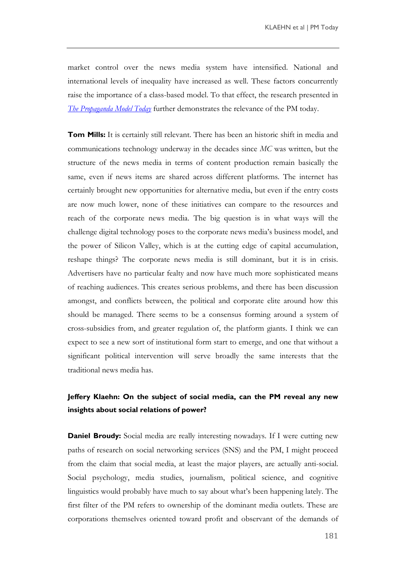market control over the news media system have intensified. National and international levels of inequality have increased as well. These factors concurrently raise the importance of a class-based model. To that effect, the research presented in *[The Propaganda Model Today](https://www.uwestminsterpress.co.uk/site/books/10.16997/book27/)* further demonstrates the relevance of the PM today.

**Tom Mills:** It is certainly still relevant. There has been an historic shift in media and communications technology underway in the decades since *MC* was written, but the structure of the news media in terms of content production remain basically the same, even if news items are shared across different platforms. The internet has certainly brought new opportunities for alternative media, but even if the entry costs are now much lower, none of these initiatives can compare to the resources and reach of the corporate news media. The big question is in what ways will the challenge digital technology poses to the corporate news media"s business model, and the power of Silicon Valley, which is at the cutting edge of capital accumulation, reshape things? The corporate news media is still dominant, but it is in crisis. Advertisers have no particular fealty and now have much more sophisticated means of reaching audiences. This creates serious problems, and there has been discussion amongst, and conflicts between, the political and corporate elite around how this should be managed. There seems to be a consensus forming around a system of cross-subsidies from, and greater regulation of, the platform giants. I think we can expect to see a new sort of institutional form start to emerge, and one that without a significant political intervention will serve broadly the same interests that the traditional news media has.

#### **Jeffery Klaehn: On the subject of social media, can the PM reveal any new insights about social relations of power?**

**Daniel Broudy:** Social media are really interesting nowadays. If I were cutting new paths of research on social networking services (SNS) and the PM, I might proceed from the claim that social media, at least the major players, are actually anti-social. Social psychology, media studies, journalism, political science, and cognitive linguistics would probably have much to say about what"s been happening lately. The first filter of the PM refers to ownership of the dominant media outlets. These are corporations themselves oriented toward profit and observant of the demands of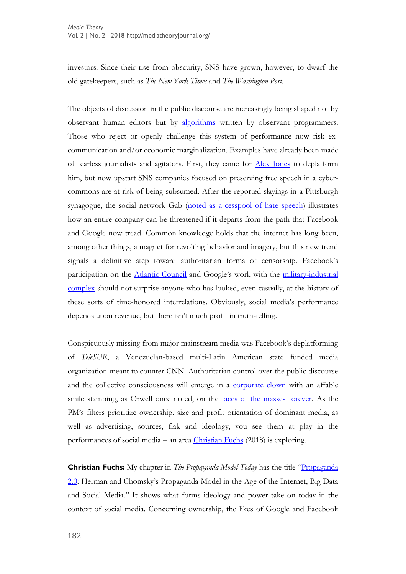investors. Since their rise from obscurity, SNS have grown, however, to dwarf the old gatekeepers, such as *The New York Times* and *The Washington Post*.

The objects of discussion in the public discourse are increasingly being shaped not by observant human editors but by [algorithms](https://www.theguardian.com/technology/2016/dec/16/google-autocomplete-rightwing-bias-algorithm-political-propaganda) written by observant programmers. Those who reject or openly challenge this system of performance now risk excommunication and/or economic marginalization. Examples have already been made of fearless journalists and agitators. First, they came for [Alex Jones](https://caitlinjohnstone.com/2018/08/15/duhhh-stop-defending-alex-jones-this-will-never-hurt-the-left-derp-duh/) to deplatform him, but now upstart SNS companies focused on preserving free speech in a cybercommons are at risk of being subsumed. After the reported slayings in a Pittsburgh synagogue, the social network Gab [\(noted as a cesspool of hate speech\)](https://www.thedailybeast.com/pittsburgh-synagogue-shooter-spewed-his-hate-on-gab-the-alt-rights-favorite-social-network) illustrates how an entire company can be threatened if it departs from the path that Facebook and Google now tread. Common knowledge holds that the internet has long been, among other things, a magnet for revolting behavior and imagery, but this new trend signals a definitive step toward authoritarian forms of censorship. Facebook"s participation on the [Atlantic Council](https://mronline.org/2018/05/24/facebook-partners-with-hawkish-atlantic-council-a-nato-lobby-group-to-protect-democracy/) and Google's work with the military-industrial [complex](https://www.wired.co.uk/article/google-microsoft-amazon-us-military-ai-conflict) should not surprise anyone who has looked, even casually, at the history of these sorts of time-honored interrelations. Obviously, social media"s performance depends upon revenue, but there isn"t much profit in truth-telling.

Conspicuously missing from major mainstream media was Facebook"s deplatforming of *TeleSUR*, a Venezuelan-based multi-Latin American state funded media organization meant to counter CNN. Authoritarian control over the public discourse and the collective consciousness will emerge in a [corporate clown](https://www.palgrave.com/jp/book/9789811055973) with an affable smile stamping, as Orwell once noted, on the [faces of the masses forever.](https://www.youtube.com/watch?v=PGuKyBimFvM) As the PM's filters prioritize ownership, size and profit orientation of dominant media, as well as advertising, sources, flak and ideology, you see them at play in the performances of social media – an area [Christian Fuchs](https://www.uwestminsterpress.co.uk/site/books/10.16997/book1/) (2018) is exploring.

**Christian Fuchs:** My chapter in *The Propaganda Model Today* has the title "[Propaganda](https://www.uwestminsterpress.co.uk/site/chapters/10.16997/book27.f/)  [2.0](https://www.uwestminsterpress.co.uk/site/chapters/10.16997/book27.f/): Herman and Chomsky"s Propaganda Model in the Age of the Internet, Big Data and Social Media." It shows what forms ideology and power take on today in the context of social media. Concerning ownership, the likes of Google and Facebook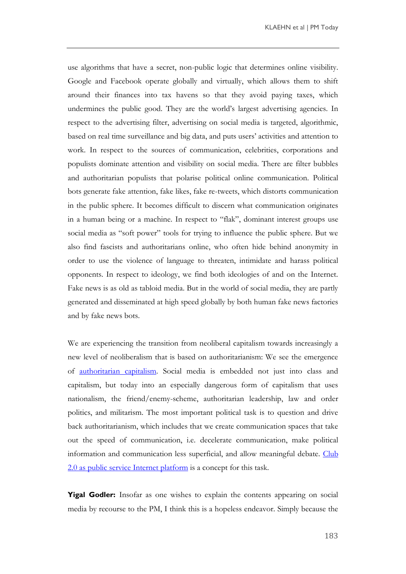use algorithms that have a secret, non-public logic that determines online visibility. Google and Facebook operate globally and virtually, which allows them to shift around their finances into tax havens so that they avoid paying taxes, which undermines the public good. They are the world"s largest advertising agencies. In respect to the advertising filter, advertising on social media is targeted, algorithmic, based on real time surveillance and big data, and puts users' activities and attention to work. In respect to the sources of communication, celebrities, corporations and populists dominate attention and visibility on social media. There are filter bubbles and authoritarian populists that polarise political online communication. Political bots generate fake attention, fake likes, fake re-tweets, which distorts communication in the public sphere. It becomes difficult to discern what communication originates in a human being or a machine. In respect to "flak", dominant interest groups use social media as "soft power" tools for trying to influence the public sphere. But we also find fascists and authoritarians online, who often hide behind anonymity in order to use the violence of language to threaten, intimidate and harass political opponents. In respect to ideology, we find both ideologies of and on the Internet. Fake news is as old as tabloid media. But in the world of social media, they are partly generated and disseminated at high speed globally by both human fake news factories and by fake news bots.

We are experiencing the transition from neoliberal capitalism towards increasingly a new level of neoliberalism that is based on authoritarianism: We see the emergence of [authoritarian capitalism.](https://www.plutobooks.com/9780745337968/digital-demagogue/) Social media is embedded not just into class and capitalism, but today into an especially dangerous form of capitalism that uses nationalism, the friend/enemy-scheme, authoritarian leadership, law and order politics, and militarism. The most important political task is to question and drive back authoritarianism, which includes that we create communication spaces that take out the speed of communication, i.e. decelerate communication, make political information and communication less superficial, and allow meaningful debate. [Club](https://www.uwestminsterpress.co.uk/site/books/10.16997/book23/)  [2.0 as public service Internet platform](https://www.uwestminsterpress.co.uk/site/books/10.16997/book23/) is a concept for this task.

**Yigal Godler:** Insofar as one wishes to explain the contents appearing on social media by recourse to the PM, I think this is a hopeless endeavor. Simply because the

183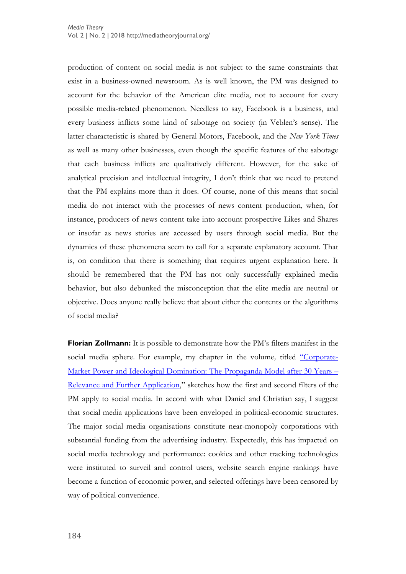production of content on social media is not subject to the same constraints that exist in a business-owned newsroom. As is well known, the PM was designed to account for the behavior of the American elite media, not to account for every possible media-related phenomenon. Needless to say, Facebook is a business, and every business inflicts some kind of sabotage on society (in Veblen"s sense). The latter characteristic is shared by General Motors, Facebook, and the *New York Times*  as well as many other businesses, even though the specific features of the sabotage that each business inflicts are qualitatively different. However, for the sake of analytical precision and intellectual integrity, I don"t think that we need to pretend that the PM explains more than it does. Of course, none of this means that social media do not interact with the processes of news content production, when, for instance, producers of news content take into account prospective Likes and Shares or insofar as news stories are accessed by users through social media. But the dynamics of these phenomena seem to call for a separate explanatory account. That is, on condition that there is something that requires urgent explanation here. It should be remembered that the PM has not only successfully explained media behavior, but also debunked the misconception that the elite media are neutral or objective. Does anyone really believe that about either the contents or the algorithms of social media?

**Florian Zollmann:** It is possible to demonstrate how the PM's filters manifest in the social media sphere. For example, my chapter in the volume, titled ["](https://www.uwestminsterpress.co.uk/site/chapters/10.16997/book27.n/)[Corporate-](https://www.uwestminsterpress.co.uk/site/chapters/10.16997/book27.n/)[Market Power and Ideological Domination: The Propaganda Model](https://www.uwestminsterpress.co.uk/site/chapters/10.16997/book27.n/) after 30 Years – [Relevance and Further Application](https://www.uwestminsterpress.co.uk/site/chapters/10.16997/book27.n/)," sketches how the first and second filters of the PM apply to social media. In accord with what Daniel and Christian say, I suggest that social media applications have been enveloped in political-economic structures. The major social media organisations constitute near-monopoly corporations with substantial funding from the advertising industry. Expectedly, this has impacted on social media technology and performance: cookies and other tracking technologies were instituted to surveil and control users, website search engine rankings have become a function of economic power, and selected offerings have been censored by way of political convenience.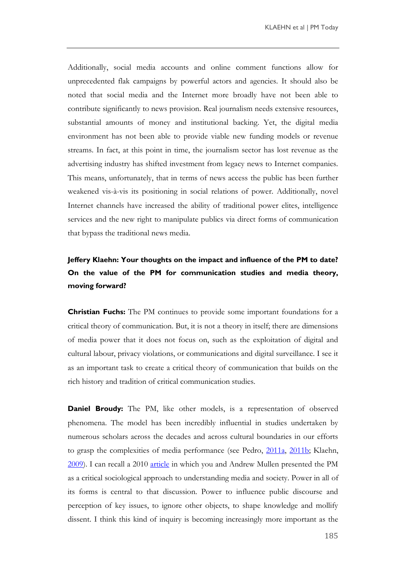Additionally, social media accounts and online comment functions allow for unprecedented flak campaigns by powerful actors and agencies. It should also be noted that social media and the Internet more broadly have not been able to contribute significantly to news provision. Real journalism needs extensive resources, substantial amounts of money and institutional backing. Yet, the digital media environment has not been able to provide viable new funding models or revenue streams. In fact, at this point in time, the journalism sector has lost revenue as the advertising industry has shifted investment from legacy news to Internet companies. This means, unfortunately, that in terms of news access the public has been further weakened vis-à-vis its positioning in social relations of power. Additionally, novel Internet channels have increased the ability of traditional power elites, intelligence services and the new right to manipulate publics via direct forms of communication that bypass the traditional news media.

# **Jeffery Klaehn: Your thoughts on the impact and influence of the PM to date? On the value of the PM for communication studies and media theory, moving forward?**

**Christian Fuchs:** The PM continues to provide some important foundations for a critical theory of communication. But, it is not a theory in itself; there are dimensions of media power that it does not focus on, such as the exploitation of digital and cultural labour, privacy violations, or communications and digital surveillance. I see it as an important task to create a critical theory of communication that builds on the rich history and tradition of critical communication studies.

**Daniel Broudy:** The PM, like other models, is a representation of observed phenomena. The model has been incredibly influential in studies undertaken by numerous scholars across the decades and across cultural boundaries in our efforts to grasp the complexities of media performance (see Pedro, [2011a,](https://ijoc.org/index.php/ijoc/article/view/785) [2011b;](https://ijoc.org/index.php/ijoc/article/view/1444) Klaehn, [2009\)](https://www.westminsterpapers.org/articles/abstract/10.16997/wpcc.123/). I can recall a 2010 [article](https://www.synaesthesiajournal.com/uploads/7/3/4/7/73473431/klaehn_mullen_v1_n1.pdf) in which you and Andrew Mullen presented the PM as a critical sociological approach to understanding media and society. Power in all of its forms is central to that discussion. Power to influence public discourse and perception of key issues, to ignore other objects, to shape knowledge and mollify dissent. I think this kind of inquiry is becoming increasingly more important as the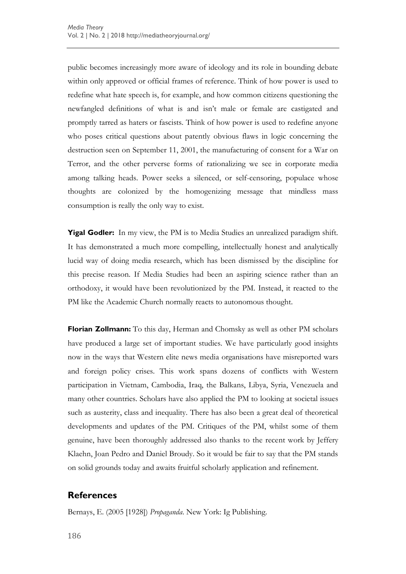public becomes increasingly more aware of ideology and its role in bounding debate within only approved or official frames of reference. Think of how power is used to redefine what hate speech is, for example, and how common citizens questioning the newfangled definitions of what is and isn"t male or female are castigated and promptly tarred as haters or fascists. Think of how power is used to redefine anyone who poses critical questions about patently obvious flaws in logic concerning the destruction seen on September 11, 2001, the manufacturing of consent for a War on Terror, and the other perverse forms of rationalizing we see in corporate media among talking heads. Power seeks a silenced, or self-censoring, populace whose thoughts are colonized by the homogenizing message that mindless mass consumption is really the only way to exist.

**Yigal Godler:** In my view, the PM is to Media Studies an unrealized paradigm shift. It has demonstrated a much more compelling, intellectually honest and analytically lucid way of doing media research, which has been dismissed by the discipline for this precise reason. If Media Studies had been an aspiring science rather than an orthodoxy, it would have been revolutionized by the PM. Instead, it reacted to the PM like the Academic Church normally reacts to autonomous thought.

**Florian Zollmann:** To this day, Herman and Chomsky as well as other PM scholars have produced a large set of important studies. We have particularly good insights now in the ways that Western elite news media organisations have misreported wars and foreign policy crises. This work spans dozens of conflicts with Western participation in Vietnam, Cambodia, Iraq, the Balkans, Libya, Syria, Venezuela and many other countries. Scholars have also applied the PM to looking at societal issues such as austerity, class and inequality. There has also been a great deal of theoretical developments and updates of the PM. Critiques of the PM, whilst some of them genuine, have been thoroughly addressed also thanks to the recent work by Jeffery Klaehn, Joan Pedro and Daniel Broudy. So it would be fair to say that the PM stands on solid grounds today and awaits fruitful scholarly application and refinement.

#### **References**

Bernays, E. (2005 [1928]) *Propaganda*. New York: Ig Publishing.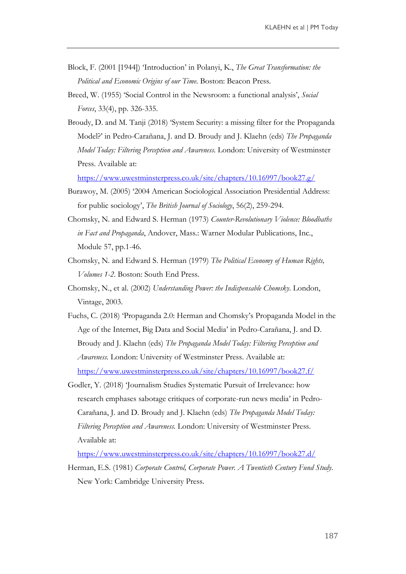- Block, F. (2001 [1944]) "Introduction" in Polanyi, K., *The Great Transformation: the Political and Economic Origins of our Time*. Boston: Beacon Press.
- Breed, W. (1955) 'Social Control in the Newsroom: a functional analysis', *Social Forces*, 33(4), pp. 326-335.
- Broudy, D. and M. Tanji (2018) "System Security: a missing filter for the Propaganda Model?" in Pedro-Carañana, J. and D. Broudy and J. Klaehn (eds) *The Propaganda Model Today: Filtering Perception and Awareness.* London: University of Westminster Press. Available at:

<https://www.uwestminsterpress.co.uk/site/chapters/10.16997/book27.g/>

- Burawoy, M. (2005) "2004 American Sociological Association Presidential Address: for public sociology", *The British Journal of Sociology*, 56(2), 259-294.
- Chomsky, N. and Edward S. Herman (1973) *Counter-Revolutionary Violence: Bloodbaths in Fact and Propaganda*, Andover, Mass.: Warner Modular Publications, Inc., Module 57, pp.1-46.
- Chomsky, N. and Edward S. Herman (1979) *The Political Economy of Human Rights, Volumes 1-2*. Boston: South End Press.
- Chomsky, N., et al. (2002) *Understanding Power: the Indispensable Chomsky*. London, Vintage, 2003.
- Fuchs, C. (2018) "Propaganda 2.0: Herman and Chomsky"s Propaganda Model in the Age of the Internet, Big Data and Social Media" in Pedro-Carañana, J. and D. Broudy and J. Klaehn (eds) *The Propaganda Model Today: Filtering Perception and Awareness.* London: University of Westminster Press. Available at: <https://www.uwestminsterpress.co.uk/site/chapters/10.16997/book27.f/>
- Godler, Y. (2018) "Journalism Studies Systematic Pursuit of Irrelevance: how research emphases sabotage critiques of corporate-run news media" in Pedro-Carañana, J. and D. Broudy and J. Klaehn (eds) *The Propaganda Model Today: Filtering Perception and Awareness.* London: University of Westminster Press. Available at:

<https://www.uwestminsterpress.co.uk/site/chapters/10.16997/book27.d/>

Herman, E.S. (1981) *Corporate Control, Corporate Power. A Twentieth Century Fund Study*. New York: Cambridge University Press.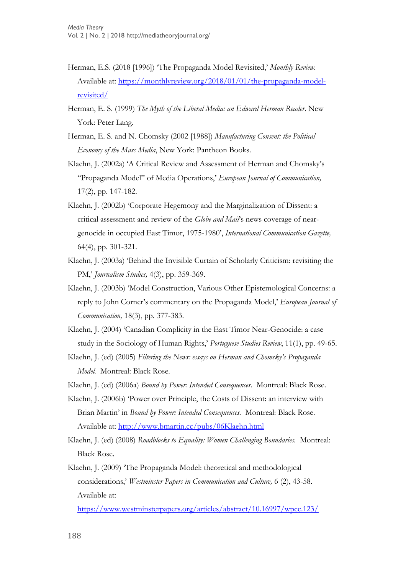- Herman, E.S. (2018 [1996]) "The Propaganda Model Revisited," *Monthly Review.* Available at: [https://monthlyreview.org/2018/01/01/the-propaganda-model](https://monthlyreview.org/2018/01/01/the-propaganda-model-revisited/)[revisited/](https://monthlyreview.org/2018/01/01/the-propaganda-model-revisited/)
- Herman, E. S. (1999) *The Myth of the Liberal Media: an Edward Herman Reader*. New York: Peter Lang.
- Herman, E. S. and N. Chomsky (2002 [1988]) *Manufacturing Consent: the Political Economy of the Mass Media*, New York: Pantheon Books.
- Klaehn, J. (2002a) "A Critical Review and Assessment of Herman and Chomsky"s "Propaganda Model" of Media Operations," *European Journal of Communication,* 17(2), pp. 147-182.
- Klaehn, J. (2002b) "Corporate Hegemony and the Marginalization of Dissent: a critical assessment and review of the *Globe and Mail's* news coverage of neargenocide in occupied East Timor, 1975-1980", *International Communication Gazette,* 64(4), pp. 301-321.
- Klaehn, J. (2003a) "Behind the Invisible Curtain of Scholarly Criticism: revisiting the PM," *Journalism Studies,* 4(3), pp. 359-369.
- Klaehn, J. (2003b) "Model Construction, Various Other Epistemological Concerns: a reply to John Corner"s commentary on the Propaganda Model," *European Journal of Communication,* 18(3), pp. 377-383.
- Klaehn, J. (2004) "Canadian Complicity in the East Timor Near-Genocide: a case study in the Sociology of Human Rights," *Portuguese Studies Review*, 11(1), pp. 49-65.
- Klaehn, J. (ed) (2005) *Filtering the News: essays on Herman and Chomsky's Propaganda Model.* Montreal: Black Rose.
- Klaehn, J. (ed) (2006a) *Bound by Power: Intended Consequences.* Montreal: Black Rose.
- Klaehn, J. (2006b) "Power over Principle, the Costs of Dissent: an interview with Brian Martin" in *Bound by Power: Intended Consequences.* Montreal: Black Rose. Available at:<http://www.bmartin.cc/pubs/06Klaehn.html>
- Klaehn, J. (ed) (2008) *Roadblocks to Equality: Women Challenging Boundaries.* Montreal: Black Rose.
- Klaehn, J. (2009) "The Propaganda Model: theoretical and methodological considerations," *Westminster Papers in Communication and Culture,* 6 (2), 43-58. Available at:

<https://www.westminsterpapers.org/articles/abstract/10.16997/wpcc.123/>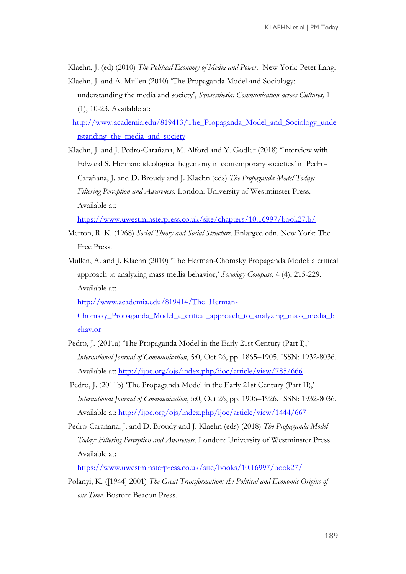Klaehn, J. (ed) (2010) *The Political Economy of Media and Power.* New York: Peter Lang. Klaehn, J. and A. Mullen (2010) "The Propaganda Model and Sociology:

understanding the media and society", *Synaesthesia: Communication across Cultures,* 1 (1), 10-23. Available at:

[http://www.academia.edu/819413/The\\_Propaganda\\_Model\\_and\\_Sociology\\_unde](http://www.academia.edu/819413/The_Propaganda_Model_and_Sociology_understanding_the_media_and_society) rstanding the media and society

Klaehn, J. and J. Pedro-Carañana, M. Alford and Y. Godler (2018) "Interview with Edward S. Herman: ideological hegemony in contemporary societies' in Pedro-Carañana, J. and D. Broudy and J. Klaehn (eds) *The Propaganda Model Today: Filtering Perception and Awareness.* London: University of Westminster Press. Available at:

<https://www.uwestminsterpress.co.uk/site/chapters/10.16997/book27.b/>

- Merton, R. K. (1968) *Social Theory and Social Structure*. Enlarged edn. New York: The Free Press.
- Mullen, A. and J. Klaehn (2010) "The Herman-Chomsky Propaganda Model: a critical approach to analyzing mass media behavior," *Sociology Compass,* 4 (4), 215-229. Available at:

[http://www.academia.edu/819414/The\\_Herman-](http://www.academia.edu/819414/The_Herman-Chomsky_Propaganda_Model_a_critical_approach_to_analyzing_mass_media_behavior)

Chomsky Propaganda Model a critical approach to analyzing mass media b [ehavior](http://www.academia.edu/819414/The_Herman-Chomsky_Propaganda_Model_a_critical_approach_to_analyzing_mass_media_behavior)

- Pedro, J. (2011a) 'The Propaganda Model in the Early 21st Century (Part I),' *International Journal of Communication*, 5:0, Oct 26, pp. 1865–1905. ISSN: 1932-8036. Available at: <http://ijoc.org/ojs/index.php/ijoc/article/view/785/666>
- Pedro, J. (2011b) 'The Propaganda Model in the Early 21st Century (Part II),' *International Journal of Communication*, 5:0, Oct 26, pp. 1906–1926. ISSN: 1932-8036. Available at: <http://ijoc.org/ojs/index.php/ijoc/article/view/1444/667>
- Pedro-Carañana, J. and D. Broudy and J. Klaehn (eds) (2018) *The Propaganda Model Today: Filtering Perception and Awareness.* London: University of Westminster Press. Available at:

<https://www.uwestminsterpress.co.uk/site/books/10.16997/book27/>

Polanyi, K. ([1944] 2001) *The Great Transformation: the Political and Economic Origins of our Time*. Boston: Beacon Press.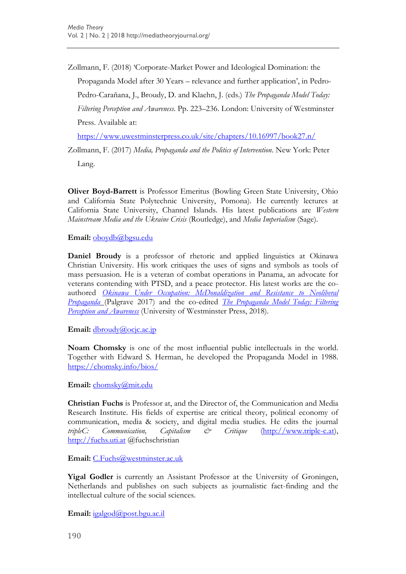Zollmann, F. (2018) "Corporate-Market Power and Ideological Domination: the Propaganda Model after 30 Years – relevance and further application', in Pedro-Pedro-Carañana, J., Broudy, D. and Klaehn, J. (eds.) *The Propaganda Model Today: Filtering Perception and Awareness*. Pp. 223–236. London: University of Westminster Press. Available at:

<https://www.uwestminsterpress.co.uk/site/chapters/10.16997/book27.n/>

Zollmann, F. (2017) *Media, Propaganda and the Politics of Intervention*. New York: Peter

Lang.

**Oliver Boyd-Barrett** is Professor Emeritus (Bowling Green State University, Ohio and California State Polytechnic University, Pomona). He currently lectures at California State University, Channel Islands. His latest publications are *Western Mainstream Media and the Ukraine Crisis* (Routledge), and *Media Imperialism* (Sage).

**Email:** [oboydb@bgsu.edu](mailto:oboydb@bgsu.edu)

**Daniel Broudy** is a professor of rhetoric and applied linguistics at Okinawa Christian University. His work critiques the uses of signs and symbols as tools of mass persuasion. He is a veteran of combat operations in Panama, an advocate for veterans contending with PTSD, and a peace protector. His latest works are the coauthored *[Okinawa Under Occupation: McDonaldization and Resistance to Neoliberal](https://www.palgrave.com/gp/book/9789811055973)  [Propaganda](https://www.palgrave.com/gp/book/9789811055973)* (Palgrave 2017) and the co-edited *[The Propaganda Model](https://www.amazon.com/Propaganda-Model-Today-Filtering-Perception/dp/1912656167/ref=sr_1_1?ie=UTF8&qid=1539874389&sr=8-1&keywords=Daniel+broudy) Today: Filtering [Perception and Awareness](https://www.amazon.com/Propaganda-Model-Today-Filtering-Perception/dp/1912656167/ref=sr_1_1?ie=UTF8&qid=1539874389&sr=8-1&keywords=Daniel+broudy)* (University of Westminster Press, 2018).

Email: [dbroudy@ocjc.ac.jp](mailto:dbroudy@ocjc.ac.jp)

**Noam Chomsky** is one of the most influential public intellectuals in the world. Together with Edward S. Herman, he developed the Propaganda Model in 1988. <https://chomsky.info/bios/>

**Email:** [chomsky@mit.edu](mailto:chomsky@mit.edu)

**Christian Fuchs** is Professor at, and the Director of, the Communication and Media Research Institute. His fields of expertise are critical theory, political economy of communication, media & society, and digital media studies. He edits the journal *tripleC: Communication, Capitalism & Critique* [\(http://www.triple-c.at\)](http://www.triple-c.at/), [http://fuchs.uti.at](http://fuchs.uti.at/) @fuchschristian

**Email:** [C.Fuchs@westminster.ac.uk](mailto:C.Fuchs@westminster.ac.uk)

**Yigal Godler** is currently an Assistant Professor at the University of Groningen, Netherlands and publishes on such subjects as journalistic fact-finding and the intellectual culture of the social sciences.

**Email:** [igalgod@post.bgu.ac.il](mailto:igalgod@post.bgu.ac.il)